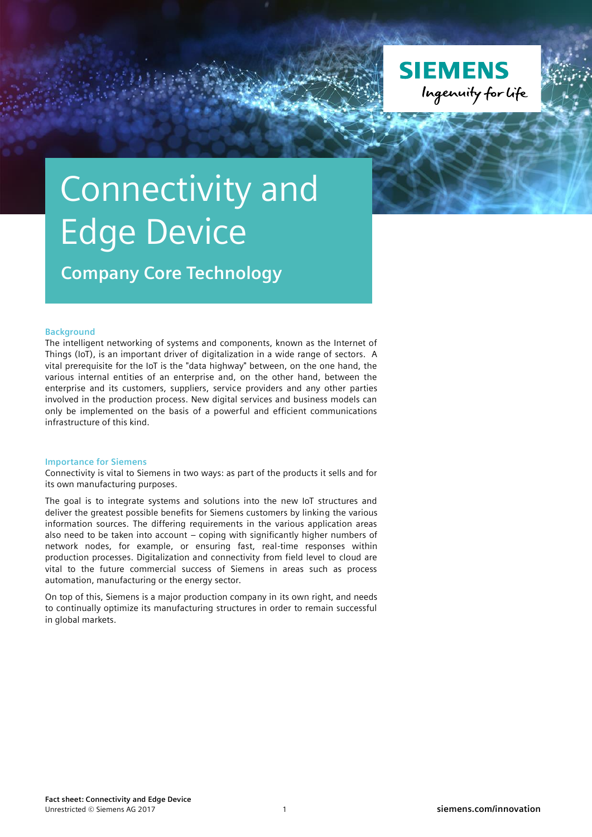

## Connectivity and Edge Device

**Company Core Technology**

## **Background**

The intelligent networking of systems and components, known as the Internet of Things (IoT), is an important driver of digitalization in a wide range of sectors. A vital prerequisite for the IoT is the "data highway" between, on the one hand, the various internal entities of an enterprise and, on the other hand, between the enterprise and its customers, suppliers, service providers and any other parties involved in the production process. New digital services and business models can only be implemented on the basis of a powerful and efficient communications infrastructure of this kind.

## **Importance for Siemens**

Connectivity is vital to Siemens in two ways: as part of the products it sells and for its own manufacturing purposes.

The goal is to integrate systems and solutions into the new IoT structures and deliver the greatest possible benefits for Siemens customers by linking the various information sources. The differing requirements in the various application areas also need to be taken into account – coping with significantly higher numbers of network nodes, for example, or ensuring fast, real-time responses within production processes. Digitalization and connectivity from field level to cloud are vital to the future commercial success of Siemens in areas such as process automation, manufacturing or the energy sector.

On top of this, Siemens is a major production company in its own right, and needs to continually optimize its manufacturing structures in order to remain successful in global markets.